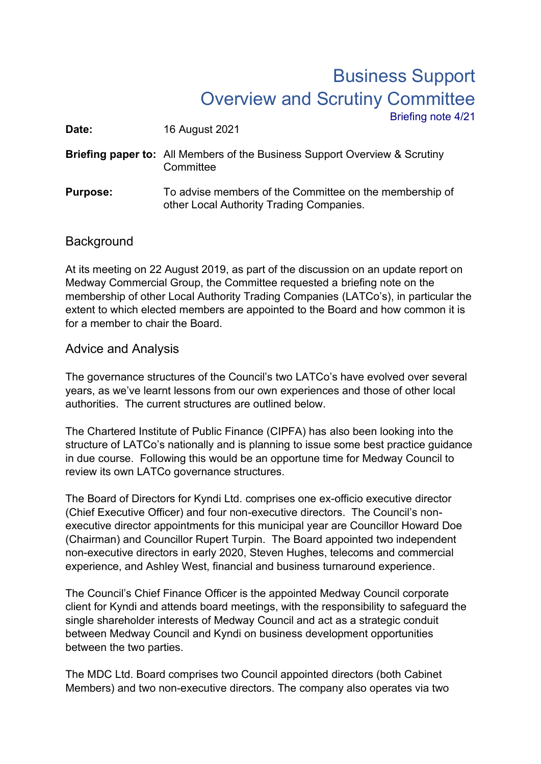## Business Support Overview and Scrutiny Committee Briefing note 4/21

**Date:** 16 August 2021

**Briefing paper to:** All Members of the Business Support Overview & Scrutiny **Committee** 

**Purpose:** To advise members of the Committee on the membership of other Local Authority Trading Companies.

## **Background**

At its meeting on 22 August 2019, as part of the discussion on an update report on Medway Commercial Group, the Committee requested a briefing note on the membership of other Local Authority Trading Companies (LATCo's), in particular the extent to which elected members are appointed to the Board and how common it is for a member to chair the Board.

## Advice and Analysis

The governance structures of the Council's two LATCo's have evolved over several years, as we've learnt lessons from our own experiences and those of other local authorities. The current structures are outlined below.

The Chartered Institute of Public Finance (CIPFA) has also been looking into the structure of LATCo's nationally and is planning to issue some best practice guidance in due course. Following this would be an opportune time for Medway Council to review its own LATCo governance structures.

The Board of Directors for Kyndi Ltd. comprises one ex-officio executive director (Chief Executive Officer) and four non-executive directors. The Council's nonexecutive director appointments for this municipal year are Councillor Howard Doe (Chairman) and Councillor Rupert Turpin. The Board appointed two independent non-executive directors in early 2020, Steven Hughes, telecoms and commercial experience, and Ashley West, financial and business turnaround experience.

The Council's Chief Finance Officer is the appointed Medway Council corporate client for Kyndi and attends board meetings, with the responsibility to safeguard the single shareholder interests of Medway Council and act as a strategic conduit between Medway Council and Kyndi on business development opportunities between the two parties.

The MDC Ltd. Board comprises two Council appointed directors (both Cabinet Members) and two non-executive directors. The company also operates via two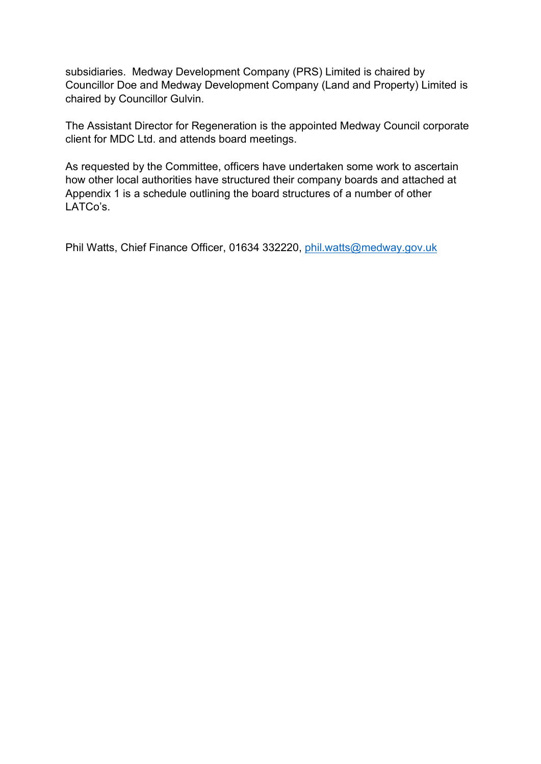subsidiaries. Medway Development Company (PRS) Limited is chaired by Councillor Doe and Medway Development Company (Land and Property) Limited is chaired by Councillor Gulvin.

The Assistant Director for Regeneration is the appointed Medway Council corporate client for MDC Ltd. and attends board meetings.

As requested by the Committee, officers have undertaken some work to ascertain how other local authorities have structured their company boards and attached at Appendix 1 is a schedule outlining the board structures of a number of other LATCo's.

Phil Watts, Chief Finance Officer, 01634 332220, [phil.watts@medway.gov.uk](mailto:phil.watts@medway.gov.uk)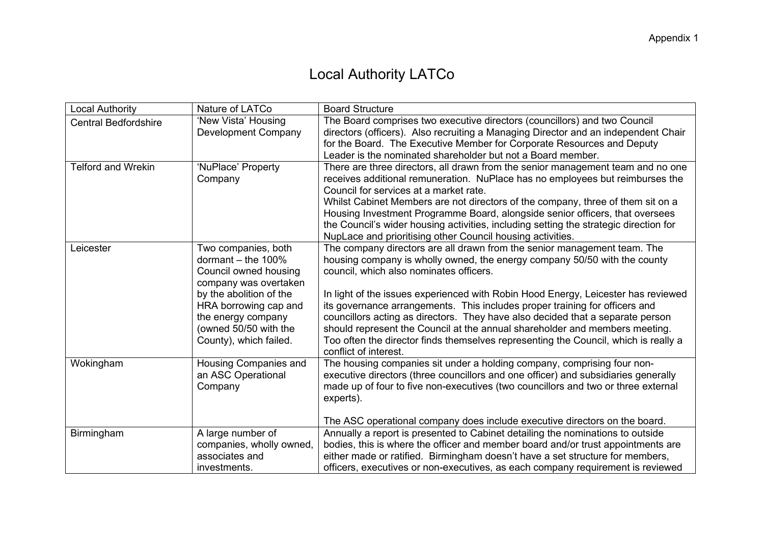## Local Authority LATCo

| <b>Local Authority</b>      | Nature of LATCo                                                                                                           | <b>Board Structure</b>                                                                                                                                                                                                                                                                                                                                                                                                                            |
|-----------------------------|---------------------------------------------------------------------------------------------------------------------------|---------------------------------------------------------------------------------------------------------------------------------------------------------------------------------------------------------------------------------------------------------------------------------------------------------------------------------------------------------------------------------------------------------------------------------------------------|
| <b>Central Bedfordshire</b> | 'New Vista' Housing<br><b>Development Company</b>                                                                         | The Board comprises two executive directors (councillors) and two Council<br>directors (officers). Also recruiting a Managing Director and an independent Chair                                                                                                                                                                                                                                                                                   |
|                             |                                                                                                                           | for the Board. The Executive Member for Corporate Resources and Deputy                                                                                                                                                                                                                                                                                                                                                                            |
|                             |                                                                                                                           | Leader is the nominated shareholder but not a Board member.                                                                                                                                                                                                                                                                                                                                                                                       |
| <b>Telford and Wrekin</b>   | 'NuPlace' Property<br>Company                                                                                             | There are three directors, all drawn from the senior management team and no one<br>receives additional remuneration. NuPlace has no employees but reimburses the<br>Council for services at a market rate.                                                                                                                                                                                                                                        |
|                             |                                                                                                                           | Whilst Cabinet Members are not directors of the company, three of them sit on a<br>Housing Investment Programme Board, alongside senior officers, that oversees<br>the Council's wider housing activities, including setting the strategic direction for<br>NupLace and prioritising other Council housing activities.                                                                                                                            |
| Leicester                   | Two companies, both<br>dormant $-$ the 100%<br>Council owned housing<br>company was overtaken                             | The company directors are all drawn from the senior management team. The<br>housing company is wholly owned, the energy company 50/50 with the county<br>council, which also nominates officers.                                                                                                                                                                                                                                                  |
|                             | by the abolition of the<br>HRA borrowing cap and<br>the energy company<br>(owned 50/50 with the<br>County), which failed. | In light of the issues experienced with Robin Hood Energy, Leicester has reviewed<br>its governance arrangements. This includes proper training for officers and<br>councillors acting as directors. They have also decided that a separate person<br>should represent the Council at the annual shareholder and members meeting.<br>Too often the director finds themselves representing the Council, which is really a<br>conflict of interest. |
| Wokingham                   | Housing Companies and<br>an ASC Operational<br>Company                                                                    | The housing companies sit under a holding company, comprising four non-<br>executive directors (three councillors and one officer) and subsidiaries generally<br>made up of four to five non-executives (two councillors and two or three external<br>experts).                                                                                                                                                                                   |
|                             |                                                                                                                           | The ASC operational company does include executive directors on the board.                                                                                                                                                                                                                                                                                                                                                                        |
| Birmingham                  | A large number of                                                                                                         | Annually a report is presented to Cabinet detailing the nominations to outside                                                                                                                                                                                                                                                                                                                                                                    |
|                             | companies, wholly owned,<br>associates and                                                                                | bodies, this is where the officer and member board and/or trust appointments are<br>either made or ratified. Birmingham doesn't have a set structure for members,                                                                                                                                                                                                                                                                                 |
|                             | investments.                                                                                                              | officers, executives or non-executives, as each company requirement is reviewed                                                                                                                                                                                                                                                                                                                                                                   |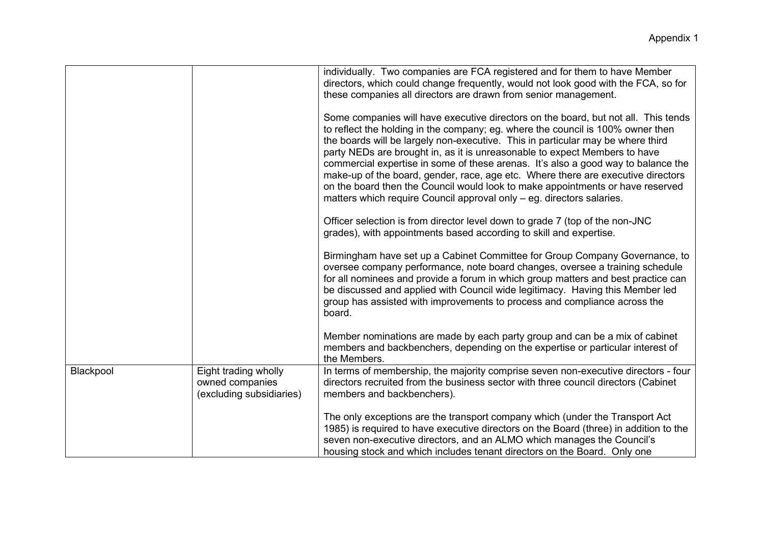|           |                                                                     | individually. Two companies are FCA registered and for them to have Member<br>directors, which could change frequently, would not look good with the FCA, so for<br>these companies all directors are drawn from senior management.                                                                                                                                                                                                                                                                                                                                                                                                                                        |
|-----------|---------------------------------------------------------------------|----------------------------------------------------------------------------------------------------------------------------------------------------------------------------------------------------------------------------------------------------------------------------------------------------------------------------------------------------------------------------------------------------------------------------------------------------------------------------------------------------------------------------------------------------------------------------------------------------------------------------------------------------------------------------|
|           |                                                                     | Some companies will have executive directors on the board, but not all. This tends<br>to reflect the holding in the company; eg. where the council is 100% owner then<br>the boards will be largely non-executive. This in particular may be where third<br>party NEDs are brought in, as it is unreasonable to expect Members to have<br>commercial expertise in some of these arenas. It's also a good way to balance the<br>make-up of the board, gender, race, age etc. Where there are executive directors<br>on the board then the Council would look to make appointments or have reserved<br>matters which require Council approval only – eg. directors salaries. |
|           |                                                                     | Officer selection is from director level down to grade 7 (top of the non-JNC<br>grades), with appointments based according to skill and expertise.                                                                                                                                                                                                                                                                                                                                                                                                                                                                                                                         |
|           |                                                                     | Birmingham have set up a Cabinet Committee for Group Company Governance, to<br>oversee company performance, note board changes, oversee a training schedule<br>for all nominees and provide a forum in which group matters and best practice can<br>be discussed and applied with Council wide legitimacy. Having this Member led<br>group has assisted with improvements to process and compliance across the<br>board.                                                                                                                                                                                                                                                   |
|           |                                                                     | Member nominations are made by each party group and can be a mix of cabinet<br>members and backbenchers, depending on the expertise or particular interest of<br>the Members.                                                                                                                                                                                                                                                                                                                                                                                                                                                                                              |
| Blackpool | Eight trading wholly<br>owned companies<br>(excluding subsidiaries) | In terms of membership, the majority comprise seven non-executive directors - four<br>directors recruited from the business sector with three council directors (Cabinet<br>members and backbenchers).                                                                                                                                                                                                                                                                                                                                                                                                                                                                     |
|           |                                                                     | The only exceptions are the transport company which (under the Transport Act<br>1985) is required to have executive directors on the Board (three) in addition to the<br>seven non-executive directors, and an ALMO which manages the Council's<br>housing stock and which includes tenant directors on the Board. Only one                                                                                                                                                                                                                                                                                                                                                |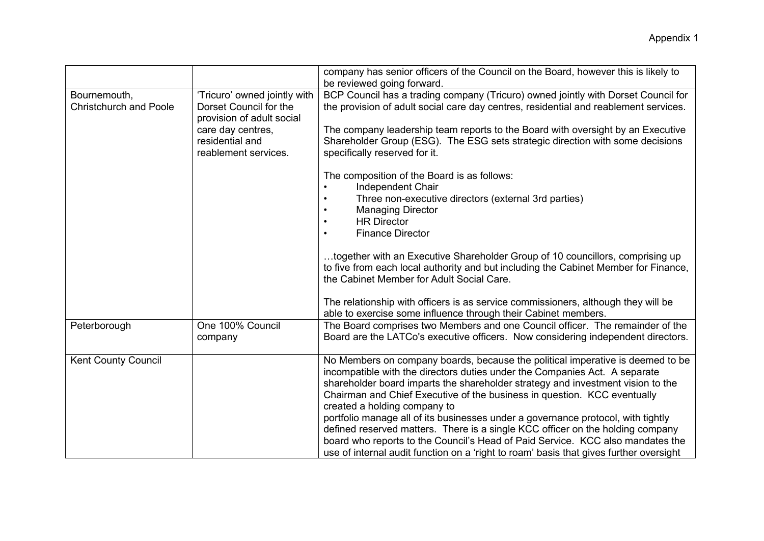|                                               |                                                                                     | company has senior officers of the Council on the Board, however this is likely to<br>be reviewed going forward.                                                                                                                                                                                                                                            |
|-----------------------------------------------|-------------------------------------------------------------------------------------|-------------------------------------------------------------------------------------------------------------------------------------------------------------------------------------------------------------------------------------------------------------------------------------------------------------------------------------------------------------|
| Bournemouth,<br><b>Christchurch and Poole</b> | 'Tricuro' owned jointly with<br>Dorset Council for the<br>provision of adult social | BCP Council has a trading company (Tricuro) owned jointly with Dorset Council for<br>the provision of adult social care day centres, residential and reablement services.                                                                                                                                                                                   |
|                                               | care day centres,<br>residential and<br>reablement services.                        | The company leadership team reports to the Board with oversight by an Executive<br>Shareholder Group (ESG). The ESG sets strategic direction with some decisions<br>specifically reserved for it.                                                                                                                                                           |
|                                               |                                                                                     | The composition of the Board is as follows:<br>Independent Chair                                                                                                                                                                                                                                                                                            |
|                                               |                                                                                     | Three non-executive directors (external 3rd parties)<br><b>Managing Director</b><br><b>HR Director</b>                                                                                                                                                                                                                                                      |
|                                               |                                                                                     | <b>Finance Director</b>                                                                                                                                                                                                                                                                                                                                     |
|                                               |                                                                                     | together with an Executive Shareholder Group of 10 councillors, comprising up<br>to five from each local authority and but including the Cabinet Member for Finance,<br>the Cabinet Member for Adult Social Care.                                                                                                                                           |
|                                               |                                                                                     | The relationship with officers is as service commissioners, although they will be<br>able to exercise some influence through their Cabinet members.                                                                                                                                                                                                         |
| Peterborough                                  | One 100% Council<br>company                                                         | The Board comprises two Members and one Council officer. The remainder of the<br>Board are the LATCo's executive officers. Now considering independent directors.                                                                                                                                                                                           |
| <b>Kent County Council</b>                    |                                                                                     | No Members on company boards, because the political imperative is deemed to be<br>incompatible with the directors duties under the Companies Act. A separate<br>shareholder board imparts the shareholder strategy and investment vision to the<br>Chairman and Chief Executive of the business in question. KCC eventually<br>created a holding company to |
|                                               |                                                                                     | portfolio manage all of its businesses under a governance protocol, with tightly<br>defined reserved matters. There is a single KCC officer on the holding company<br>board who reports to the Council's Head of Paid Service. KCC also mandates the<br>use of internal audit function on a 'right to roam' basis that gives further oversight              |